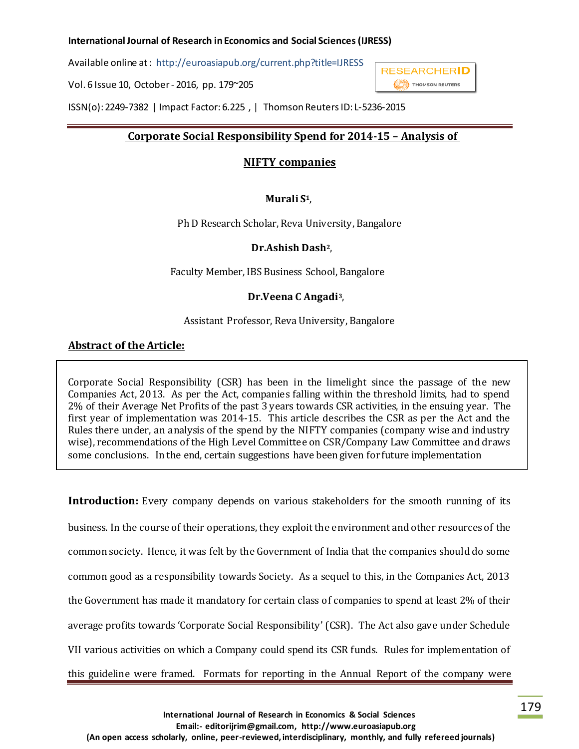Available online at : http://euroasiapub.org/current.php?title=IJRESS

Vol. 6 Issue 10, October - 2016, pp. 179~205



ISSN(o): 2249-7382 | Impact Factor: 6.225 , | Thomson Reuters ID: L-5236-2015

# **Corporate Social Responsibility Spend for 2014-15 – Analysis of**

# **NIFTY companies**

# **Murali S1**,

Ph D Research Scholar, Reva University, Bangalore

## **Dr.Ashish Dash2**,

Faculty Member, IBS Business School, Bangalore

# **Dr.Veena C Angadi3**,

## Assistant Professor, Reva University, Bangalore

# **Abstract of the Article:**

Corporate Social Responsibility (CSR) has been in the limelight since the passage of the new Companies Act, 2013. As per the Act, companies falling within the threshold limits, had to spend 2% of their Average Net Profits of the past 3 years towards CSR activities, in the ensuing year. The first year of implementation was 2014-15. This article describes the CSR as per the Act and the Rules there under, an analysis of the spend by the NIFTY companies (company wise and industry wise), recommendations of the High Level Committee on CSR/Company Law Committee and draws some conclusions. In the end, certain suggestions have been given for future implementation

**Introduction**: Every company depends on various stakeholders for the smooth running of its business. In the course of their operations, they exploit the environment and other resources of the common society. Hence, it was felt by the Government of India that the companies should do some common good as a responsibility towards Society. As a sequel to this, in the Companies Act, 2013 the Government has made it mandatory for certain class of companies to spend at least 2% of their average profits towards 'Corporate Social Responsibility' (CSR). The Act also gave under Schedule VII various activities on which a Company could spend its CSR funds. Rules for implementation of this guideline were framed. Formats for reporting in the Annual Report of the company were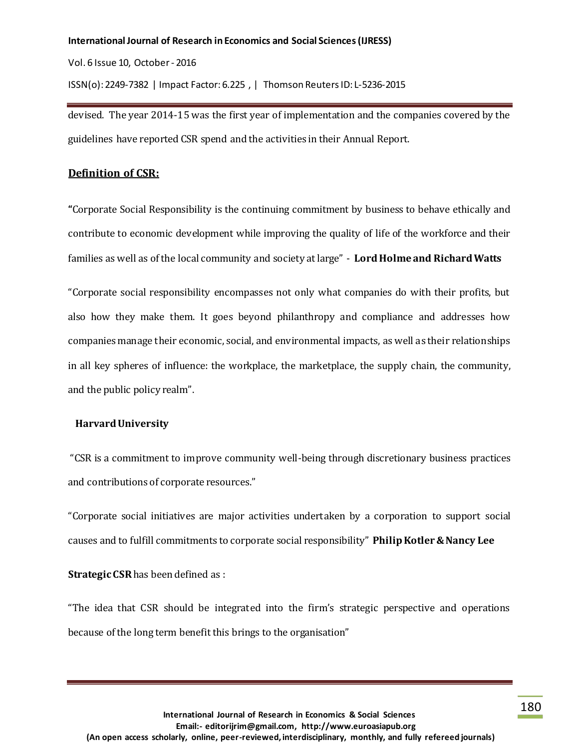Vol. 6 Issue 10, October - 2016

ISSN(o): 2249-7382 | Impact Factor: 6.225 , | Thomson Reuters ID: L-5236-2015

devised. The year 2014-15 was the first year of implementation and the companies covered by the guidelines have reported CSR spend and the activities in their Annual Report.

## **Definition of CSR:**

**"**Corporate Social Responsibility is the continuing commitment by business to behave ethically and contribute to economic development while improving the quality of life of the workforce and their families as well as of the local community and society at large" - **Lord Holme and Richard Watts**

"Corporate social responsibility encompasses not only what companies do with their profits, but also how they make them. It goes beyond philanthropy and compliance and addresses how companies manage their economic, social, and environmental impacts, as well as their relationships in all key spheres of influence: the workplace, the marketplace, the supply chain, the community, and the public policy realm".

### **Harvard University**

"CSR is a commitment to improve community well-being through discretionary business practices and contributions of corporate resources."

"Corporate social initiatives are major activities undertaken by a corporation to support social causes and to fulfill commitments to corporate social responsibility" **Philip Kotler & Nancy Lee**

**Strategic CSR**has been defined as :

"The idea that CSR should be integrated into the firm's strategic perspective and operations because of the long term benefit this brings to the organisation"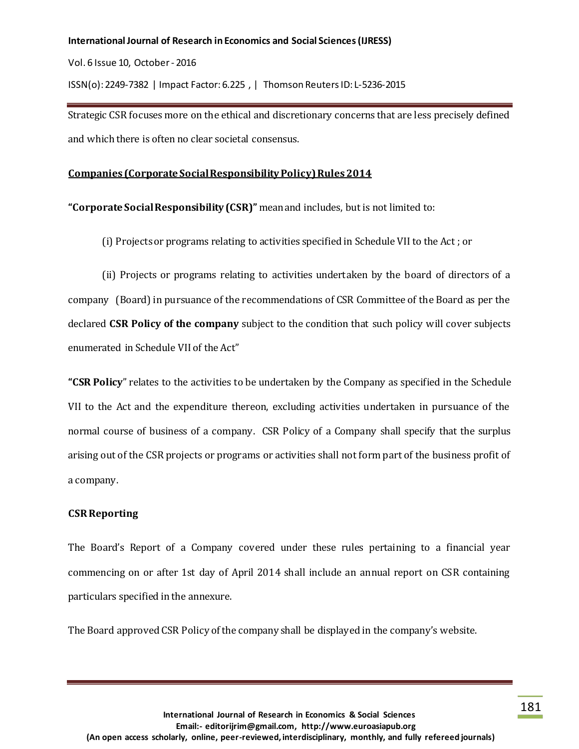Vol. 6 Issue 10, October - 2016

ISSN(o): 2249-7382 | Impact Factor: 6.225 , | Thomson Reuters ID: L-5236-2015

Strategic CSR focuses more on the ethical and discretionary concerns that are less precisely defined and which there is often no clear societal consensus.

#### **Companies (Corporate Social Responsibility Policy) Rules 2014**

**"Corporate Social Responsibility (CSR)"** mean and includes, but is not limited to:

(i) Projects or programs relating to activities specified in Schedule VII to the Act ; or

(ii) Projects or programs relating to activities undertaken by the board of directors of a company (Board) in pursuance of the recommendations of CSR Committee of the Board as per the declared **CSR Policy of the company** subject to the condition that such policy will cover subjects enumerated in Schedule VII of the Act"

**"CSR Policy**" relates to the activities to be undertaken by the Company as specified in the Schedule VII to the Act and the expenditure thereon, excluding activities undertaken in pursuance of the normal course of business of a company. CSR Policy of a Company shall specify that the surplus arising out of the CSR projects or programs or activities shall not form part of the business profit of a company.

# **CSR Reporting**

The Board's Report of a Company covered under these rules pertaining to a financial year commencing on or after 1st day of April 2014 shall include an annual report on CSR containing particulars specified in the annexure.

The Board approved CSR Policy of the company shall be displayed in the company's website.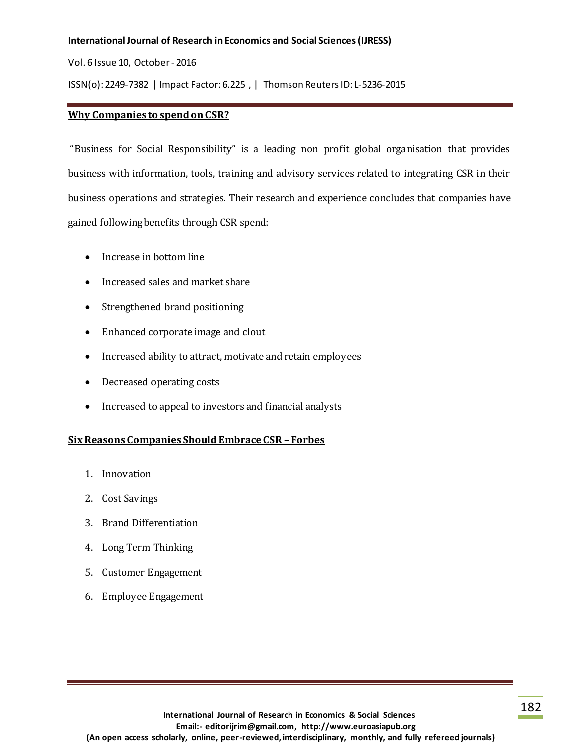#### Vol. 6 Issue 10, October - 2016

ISSN(o): 2249-7382 | Impact Factor: 6.225 , | Thomson Reuters ID: L-5236-2015

# **Why Companies to spend on CSR?**

"Business for Social Responsibility" is a leading non profit global organisation that provides business with information, tools, training and advisory services related to integrating CSR in their business operations and strategies. Their research and experience concludes that companies have gained following benefits through CSR spend:

- Increase in bottom line
- Increased sales and market share
- Strengthened brand positioning
- Enhanced corporate image and clout
- Increased ability to attract, motivate and retain employees
- Decreased operating costs
- Increased to appeal to investors and financial analysts

#### **Six Reasons Companies Should Embrace CSR – Forbes**

- 1. Innovation
- 2. Cost Savings
- 3. Brand Differentiation
- 4. Long Term Thinking
- 5. Customer Engagement
- 6. Employee Engagement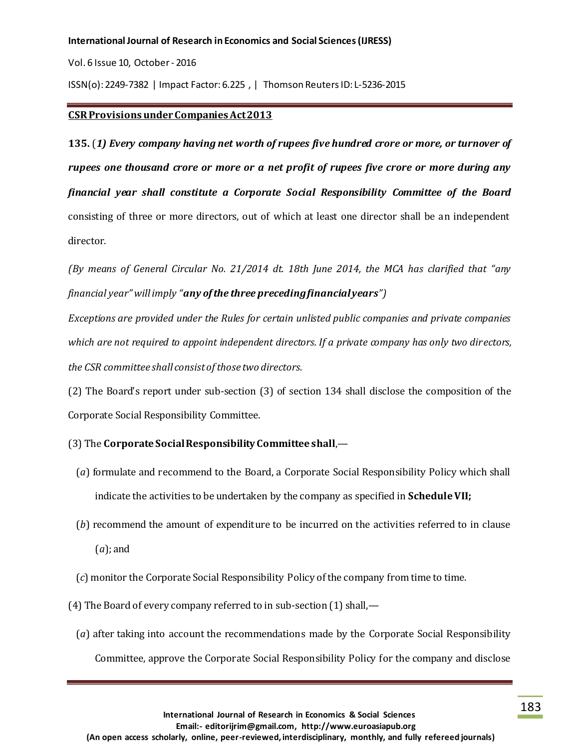Vol. 6 Issue 10, October - 2016

ISSN(o): 2249-7382 | Impact Factor: 6.225 , | Thomson Reuters ID: L-5236-2015

#### **CSR Provisions under Companies Act 2013**

**135.** (*1) Every company having net worth of rupees five hundred crore or more, or turnover of rupees one thousand crore or more or a net profit of rupees five crore or more during any financial year shall constitute a Corporate Social Responsibility Committee of the Board* consisting of three or more directors, out of which at least one director shall be an independent director.

*(By means of General Circular No. 21/2014 dt. 18th June 2014, the MCA has clarified that "any financial year" will imply "any of the three preceding financial years")*

*Exceptions are provided under the Rules for certain unlisted public companies and private companies which are not required to appoint independent directors. If a private company has only two directors, the CSR committee shall consist of those two directors.*

(2) The Board's report under sub-section (3) of section 134 shall disclose the composition of the Corporate Social Responsibility Committee.

# (3) The **Corporate Social Responsibility Committee shall**,—

- (*a*) formulate and recommend to the Board, a Corporate Social Responsibility Policy which shall indicate the activities to be undertaken by the company as specified in **Schedule VII;**
- (*b*) recommend the amount of expenditure to be incurred on the activities referred to in clause (*a*); and
- (*c*) monitor the Corporate Social Responsibility Policy of the company from time to time.
- (4) The Board of every company referred to in sub-section (1) shall,—
	- (*a*) after taking into account the recommendations made by the Corporate Social Responsibility Committee, approve the Corporate Social Responsibility Policy for the company and disclose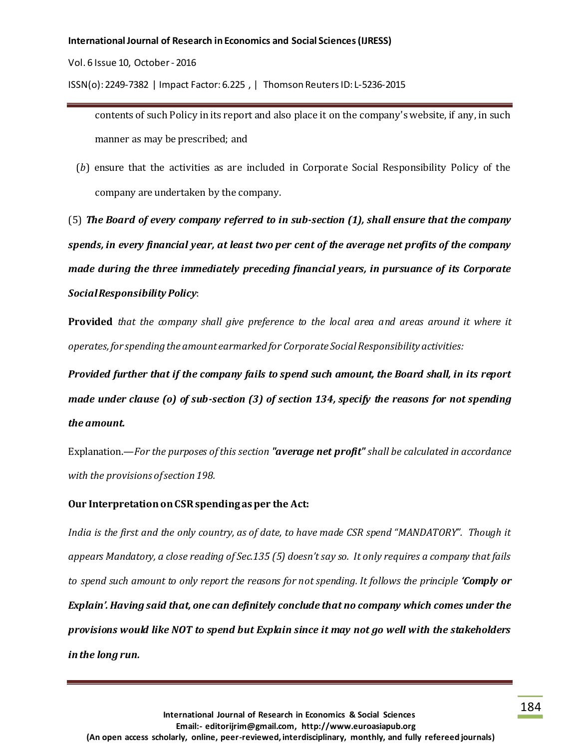Vol. 6 Issue 10, October - 2016

ISSN(o): 2249-7382 | Impact Factor: 6.225 , | Thomson Reuters ID: L-5236-2015

contents of such Policy in its report and also place it on the company's website, if any, in such manner as may be prescribed; and

(*b*) ensure that the activities as are included in Corporate Social Responsibility Policy of the company are undertaken by the company.

(5) *The Board of every company referred to in sub-section (1), shall ensure that the company spends, in every financial year, at least two per cent of the average net profits of the company made during the three immediately preceding financial years, in pursuance of its Corporate Social Responsibility Policy*:

**Provided** *that the company shall give preference to the local area and areas around it where it operates, for spending the amount earmarked for Corporate Social Responsibility activities:*

*Provided further that if the company fails to spend such amount, the Board shall, in its report made under clause (o) of sub-section (3) of section 134, specify the reasons for not spending the amount.*

Explanation.—*For the purposes of this section "average net profit" shall be calculated in accordance with the provisions of section 198.*

# **Our Interpretation on CSR spending as per the Act:**

*India is the first and the only country, as of date, to have made CSR spend "MANDATORY". Though it appears Mandatory, a close reading of Sec.135 (5) doesn't say so. It only requires a company that fails to spend such amount to only report the reasons for not spending. It follows the principle 'Comply or Explain'. Having said that, one can definitely conclude that no company which comes under the provisions would like NOT to spend but Explain since it may not go well with the stakeholders in the long run.*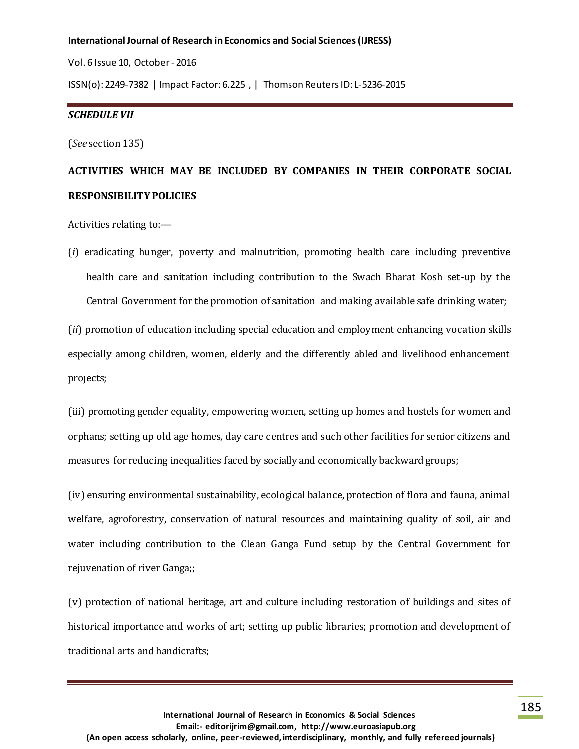Vol. 6 Issue 10, October - 2016

ISSN(o): 2249-7382 | Impact Factor: 6.225 , | Thomson Reuters ID: L-5236-2015

# *SCHEDULE VII*

(*See* section 135)

# **ACTIVITIES WHICH MAY BE INCLUDED BY COMPANIES IN THEIR CORPORATE SOCIAL RESPONSIBILITY POLICIES**

Activities relating to:—

(*i*) eradicating hunger, poverty and malnutrition, promoting health care including preventive health care and sanitation including contribution to the Swach Bharat Kosh set-up by the Central Government for the promotion of sanitation and making available safe drinking water;

(*ii*) promotion of education including special education and employment enhancing vocation skills especially among children, women, elderly and the differently abled and livelihood enhancement projects;

(iii) promoting gender equality, empowering women, setting up homes and hostels for women and orphans; setting up old age homes, day care centres and such other facilities for senior citizens and measures for reducing inequalities faced by socially and economically backward groups;

(iv) ensuring environmental sustainability, ecological balance, protection of flora and fauna, animal welfare, agroforestry, conservation of natural resources and maintaining quality of soil, air and water including contribution to the Clean Ganga Fund setup by the Central Government for rejuvenation of river Ganga;;

(v) protection of national heritage, art and culture including restoration of buildings and sites of historical importance and works of art; setting up public libraries; promotion and development of traditional arts and handicrafts;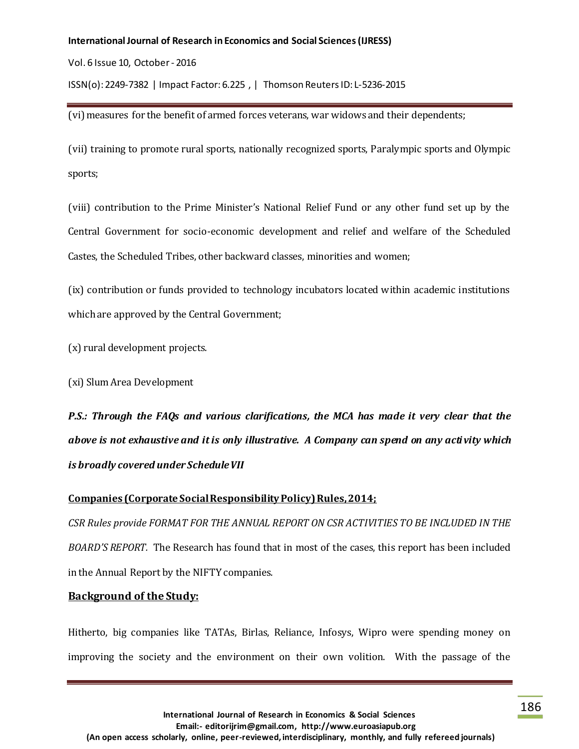Vol. 6 Issue 10, October - 2016

ISSN(o): 2249-7382 | Impact Factor: 6.225 , | Thomson Reuters ID: L-5236-2015

(vi) measures for the benefit of armed forces veterans, war widows and their dependents;

(vii) training to promote rural sports, nationally recognized sports, Paralympic sports and Olympic sports;

(viii) contribution to the Prime Minister's National Relief Fund or any other fund set up by the Central Government for socio-economic development and relief and welfare of the Scheduled Castes, the Scheduled Tribes, other backward classes, minorities and women;

(ix) contribution or funds provided to technology incubators located within academic institutions which are approved by the Central Government;

(x) rural development projects.

(xi) Slum Area Development

*P.S.: Through the FAQs and various clarifications, the MCA has made it very clear that the above is not exhaustive and it is only illustrative. A Company can spend on any activity which is broadly covered under Schedule VII* 

# **Companies (Corporate Social Responsibility Policy) Rules, 2014;**

*CSR Rules provide FORMAT FOR THE ANNUAL REPORT ON CSR ACTIVITIES TO BE INCLUDED IN THE BOARD'S REPORT.* The Research has found that in most of the cases, this report has been included in the Annual Report by the NIFTY companies.

# **Background of the Study:**

Hitherto, big companies like TATAs, Birlas, Reliance, Infosys, Wipro were spending money on improving the society and the environment on their own volition. With the passage of the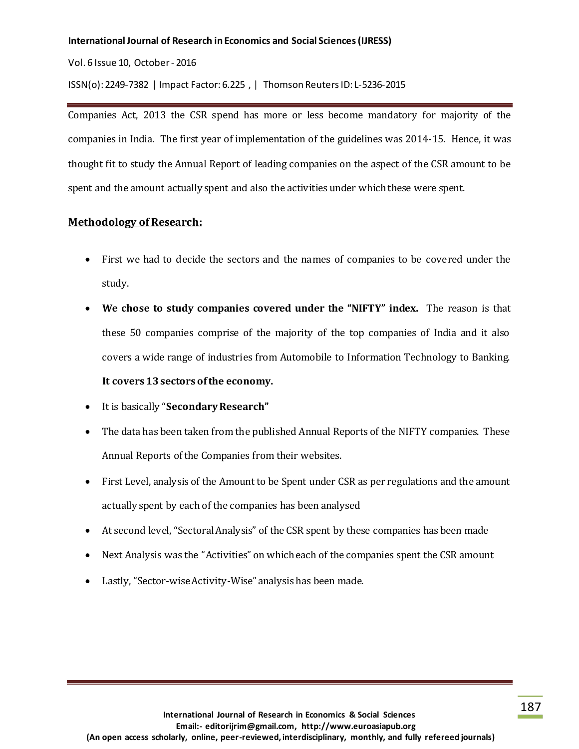Vol. 6 Issue 10, October - 2016

ISSN(o): 2249-7382 | Impact Factor: 6.225 , | Thomson Reuters ID: L-5236-2015

Companies Act, 2013 the CSR spend has more or less become mandatory for majority of the companies in India. The first year of implementation of the guidelines was 2014-15. Hence, it was thought fit to study the Annual Report of leading companies on the aspect of the CSR amount to be spent and the amount actually spent and also the activities under which these were spent.

# **Methodology of Research:**

- First we had to decide the sectors and the names of companies to be covered under the study.
- **We chose to study companies covered under the "NIFTY" index.** The reason is that these 50 companies comprise of the majority of the top companies of India and it also covers a wide range of industries from Automobile to Information Technology to Banking. **It covers 13 sectors of the economy.**

- It is basically "**Secondary Research"**
- The data has been taken from the published Annual Reports of the NIFTY companies. These Annual Reports of the Companies from their websites.
- First Level, analysis of the Amount to be Spent under CSR as per regulations and the amount actually spent by each of the companies has been analysed
- At second level, "Sectoral Analysis" of the CSR spent by these companies has been made
- Next Analysis was the "Activities" on which each of the companies spent the CSR amount
- Lastly, "Sector-wise Activity-Wise" analysis has been made.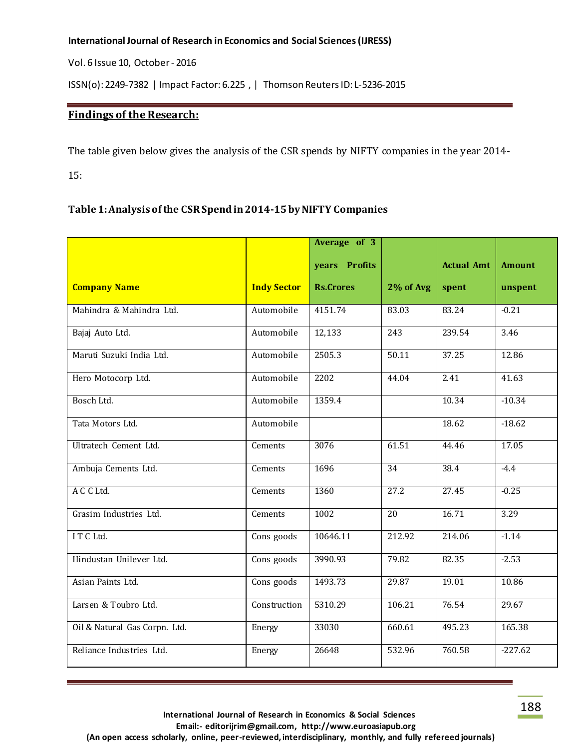Vol. 6 Issue 10, October - 2016

ISSN(o): 2249-7382 | Impact Factor: 6.225 , | Thomson Reuters ID: L-5236-2015

# **Findings of the Research:**

The table given below gives the analysis of the CSR spends by NIFTY companies in the year 2014-

15:

# **Table 1: Analysis ofthe CSR Spend in 2014-15 by NIFTY Companies**

|                               |                    | Average of 3     |           |                   |               |
|-------------------------------|--------------------|------------------|-----------|-------------------|---------------|
|                               |                    | years Profits    |           | <b>Actual Amt</b> | <b>Amount</b> |
| <b>Company Name</b>           | <b>Indy Sector</b> | <b>Rs.Crores</b> | 2% of Avg | spent             | unspent       |
| Mahindra & Mahindra Ltd.      | Automobile         | 4151.74          | 83.03     | 83.24             | $-0.21$       |
| Bajaj Auto Ltd.               | Automobile         | 12,133           | 243       | 239.54            | 3.46          |
| Maruti Suzuki India Ltd.      | Automobile         | 2505.3           | 50.11     | 37.25             | 12.86         |
| Hero Motocorp Ltd.            | Automobile         | 2202             | 44.04     | 2.41              | 41.63         |
| Bosch Ltd.                    | Automobile         | 1359.4           |           | 10.34             | $-10.34$      |
| Tata Motors Ltd.              | Automobile         |                  |           | 18.62             | $-18.62$      |
| Ultratech Cement Ltd.         | Cements            | 3076             | 61.51     | 44.46             | 17.05         |
| Ambuja Cements Ltd.           | Cements            | 1696             | 34        | 38.4              | $-4.4$        |
| A C C Ltd.                    | Cements            | 1360             | 27.2      | 27.45             | $-0.25$       |
| Grasim Industries Ltd.        | <b>Cements</b>     | 1002             | 20        | 16.71             | 3.29          |
| ITCLtd.                       | Cons goods         | 10646.11         | 212.92    | 214.06            | $-1.14$       |
| Hindustan Unilever Ltd.       | Cons goods         | 3990.93          | 79.82     | 82.35             | $-2.53$       |
| Asian Paints Ltd.             | Cons goods         | 1493.73          | 29.87     | 19.01             | 10.86         |
| Larsen & Toubro Ltd.          | Construction       | 5310.29          | 106.21    | 76.54             | 29.67         |
| Oil & Natural Gas Corpn. Ltd. | Energy             | 33030            | 660.61    | 495.23            | 165.38        |
| Reliance Industries Ltd.      | Energy             | 26648            | 532.96    | 760.58            | $-227.62$     |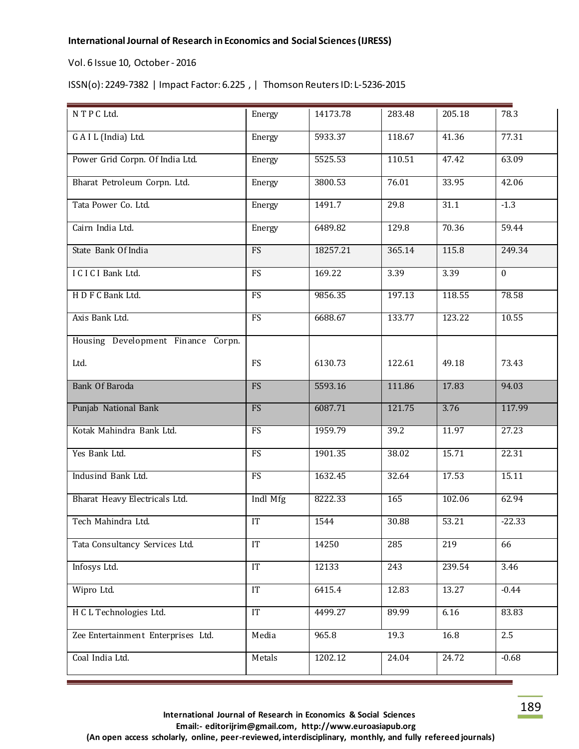Vol. 6 Issue 10, October - 2016

ISSN(o): 2249-7382 | Impact Factor: 6.225 , | Thomson Reuters ID: L-5236-2015

| NTPCLtd.                           | Energy                     | 14173.78 | 283.48         | 205.18 | 78.3           |
|------------------------------------|----------------------------|----------|----------------|--------|----------------|
| G A I L (India) Ltd.               | Energy                     | 5933.37  | 118.67         | 41.36  | 77.31          |
| Power Grid Corpn. Of India Ltd.    | Energy                     | 5525.53  | 110.51         | 47.42  | 63.09          |
| Bharat Petroleum Corpn. Ltd.       | Energy                     | 3800.53  | 76.01<br>33.95 |        | 42.06          |
| Tata Power Co. Ltd.                | Energy                     | 1491.7   | 29.8           | 31.1   | $-1.3$         |
| Cairn India Ltd.                   | Energy                     | 6489.82  | 129.8          | 70.36  | 59.44          |
| State Bank Of India                | <b>FS</b>                  | 18257.21 | 365.14         | 115.8  | 249.34         |
| I C I C I Bank Ltd.                | <b>FS</b>                  | 169.22   | 3.39           | 3.39   | $\overline{0}$ |
| H D F C Bank Ltd.                  | FS                         | 9856.35  | 197.13         | 118.55 | 78.58          |
| Axis Bank Ltd.                     | FS                         | 6688.67  | 133.77         | 123.22 | 10.55          |
| Housing Development Finance Corpn. |                            |          |                |        |                |
| Ltd.                               | FS                         | 6130.73  | 122.61         | 49.18  | 73.43          |
| Bank Of Baroda                     | <b>FS</b>                  | 5593.16  | 111.86         | 17.83  | 94.03          |
| Punjab National Bank               | FS                         | 6087.71  | 121.75         | 3.76   | 117.99         |
| Kotak Mahindra Bank Ltd.           | FS                         | 1959.79  | 39.2           | 11.97  | 27.23          |
| Yes Bank Ltd.                      | FS                         | 1901.35  | 38.02          | 15.71  | 22.31          |
| Indusind Bank Ltd.                 | FS                         | 1632.45  | 32.64          | 17.53  | 15.11          |
| Bharat Heavy Electricals Ltd.      | Indl Mfg                   | 8222.33  | 165            | 102.06 | 62.94          |
| Tech Mahindra Ltd.                 | $\ensuremath{\mathsf{IT}}$ | 1544     | 30.88          | 53.21  | $-22.33$       |
| Tata Consultancy Services Ltd.     | IT                         | 14250    | 285            | 219    | 66             |
| Infosys Ltd.                       | $\overline{IT}$            | 12133    | 243            | 239.54 | 3.46           |
| Wipro Ltd.                         | $\overline{IT}$            | 6415.4   | 12.83          | 13.27  | $-0.44$        |
| H C L Technologies Ltd.            | $\overline{IT}$            | 4499.27  | 89.99          | 6.16   | 83.83          |
| Zee Entertainment Enterprises Ltd. | Media                      | 965.8    | 19.3           | 16.8   | 2.5            |
| Coal India Ltd.                    | Metals                     | 1202.12  | 24.04          | 24.72  | $-0.68$        |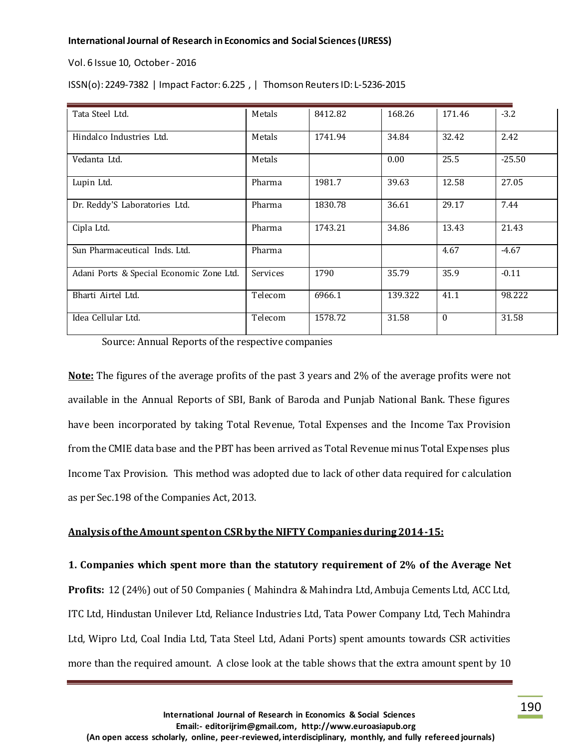Vol. 6 Issue 10, October - 2016

| Tata Steel Ltd.                          | Metals   | 8412.82 | 168.26  | 171.46   | $-3.2$   |
|------------------------------------------|----------|---------|---------|----------|----------|
| Hindalco Industries Ltd.                 | Metals   | 1741.94 | 34.84   | 32.42    | 2.42     |
| Vedanta Ltd.                             | Metals   |         | 0.00    | 25.5     | $-25.50$ |
| Lupin Ltd.                               | Pharma   | 1981.7  | 39.63   | 12.58    | 27.05    |
| Dr. Reddy'S Laboratories Ltd.            | Pharma   | 1830.78 | 36.61   | 29.17    | 7.44     |
| Cipla Ltd.                               | Pharma   | 1743.21 | 34.86   | 13.43    | 21.43    |
| Sun Pharmaceutical Inds. Ltd.            | Pharma   |         |         | 4.67     | $-4.67$  |
| Adani Ports & Special Economic Zone Ltd. | Services | 1790    | 35.79   | 35.9     | $-0.11$  |
| Bharti Airtel Ltd.                       | Telecom  | 6966.1  | 139.322 | 41.1     | 98.222   |
| Idea Cellular Ltd.                       | Telecom  | 1578.72 | 31.58   | $\theta$ | 31.58    |

ISSN(o): 2249-7382 | Impact Factor: 6.225 , | Thomson Reuters ID: L-5236-2015

Source: Annual Reports of the respective companies

**Note:** The figures of the average profits of the past 3 years and 2% of the average profits were not available in the Annual Reports of SBI, Bank of Baroda and Punjab National Bank. These figures have been incorporated by taking Total Revenue, Total Expenses and the Income Tax Provision from the CMIE data base and the PBT has been arrived as Total Revenue minus Total Expenses plus Income Tax Provision. This method was adopted due to lack of other data required for calculation as per Sec.198 of the Companies Act, 2013.

#### **Analysis of the Amount spent on CSR by the NIFTY Companies during 2014-15:**

**1. Companies which spent more than the statutory requirement of 2% of the Average Net** 

**Profits:** 12 (24%) out of 50 Companies ( Mahindra & Mahindra Ltd, Ambuja Cements Ltd, ACC Ltd, ITC Ltd, Hindustan Unilever Ltd, Reliance Industries Ltd, Tata Power Company Ltd, Tech Mahindra Ltd, Wipro Ltd, Coal India Ltd, Tata Steel Ltd, Adani Ports) spent amounts towards CSR activities more than the required amount. A close look at the table shows that the extra amount spent by 10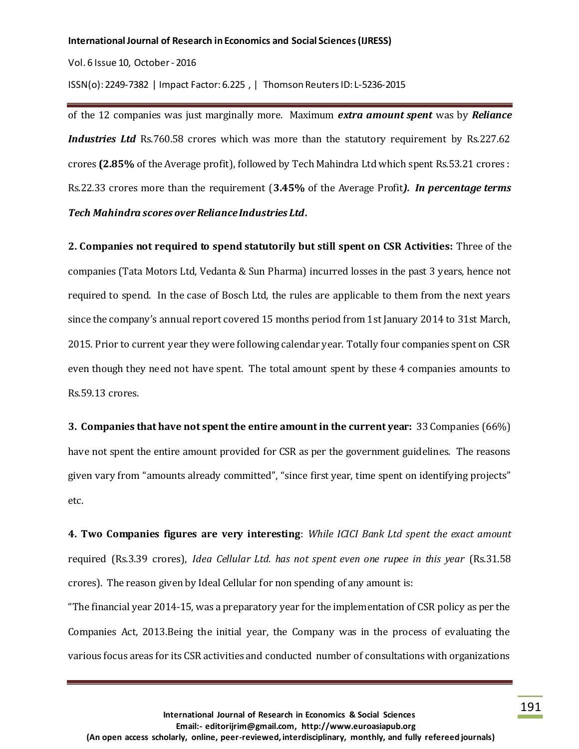Vol. 6 Issue 10, October - 2016

ISSN(o): 2249-7382 | Impact Factor: 6.225 , | Thomson Reuters ID: L-5236-2015

of the 12 companies was just marginally more. Maximum *extra amount spent* was by *Reliance Industries Ltd* Rs.760.58 crores which was more than the statutory requirement by Rs.227.62 crores **(2.85%** of the Average profit), followed by Tech Mahindra Ltd which spent Rs.53.21 crores : Rs.22.33 crores more than the requirement (**3.45%** of the Average Profit*). In percentage terms* 

*Tech Mahindra scores over Reliance Industries Ltd.*

**2. Companies not required to spend statutorily but still spent on CSR Activities:** Three of the companies (Tata Motors Ltd, Vedanta & Sun Pharma) incurred losses in the past 3 years, hence not required to spend. In the case of Bosch Ltd, the rules are applicable to them from the next years since the company's annual report covered 15 months period from 1st January 2014 to 31st March, 2015. Prior to current year they were following calendar year. Totally four companies spent on CSR even though they need not have spent. The total amount spent by these 4 companies amounts to Rs.59.13 crores.

**3. Companies that have not spent the entire amount in the current year:** 33 Companies (66%) have not spent the entire amount provided for CSR as per the government guidelines. The reasons given vary from "amounts already committed", "since first year, time spent on identifying projects" etc.

**4. Two Companies figures are very interesting**: *While ICICI Bank Ltd spent the exact amount* required (Rs.3.39 crores), *Idea Cellular Ltd. has not spent even one rupee in this year* (Rs.31.58 crores). The reason given by Ideal Cellular for non spending of any amount is:

"The financial year 2014-15, was a preparatory year for the implementation of CSR policy as per the Companies Act, 2013.Being the initial year, the Company was in the process of evaluating the various focus areas for its CSR activities and conducted number of consultations with organizations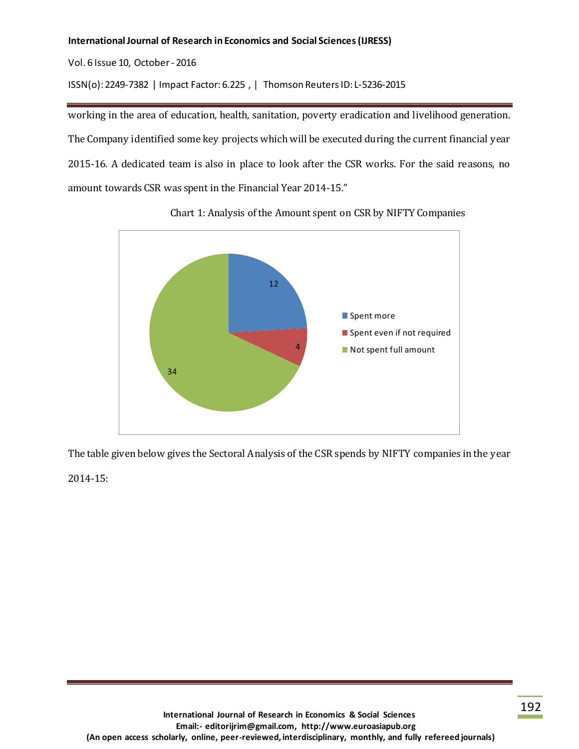Vol. 6 Issue 10, October - 2016

ISSN(o): 2249-7382 | Impact Factor: 6.225 , | Thomson Reuters ID: L-5236-2015

working in the area of education, health, sanitation, poverty eradication and livelihood generation. The Company identified some key projects which will be executed during the current financial year 2015-16. A dedicated team is also in place to look after the CSR works. For the said reasons, no amount towards CSR was spent in the Financial Year 2014-15."



Chart 1: Analysis of the Amount spent on CSR by NIFTY Companies

The table given below gives the Sectoral Analysis of the CSR spends by NIFTY companies in the year

2014-15: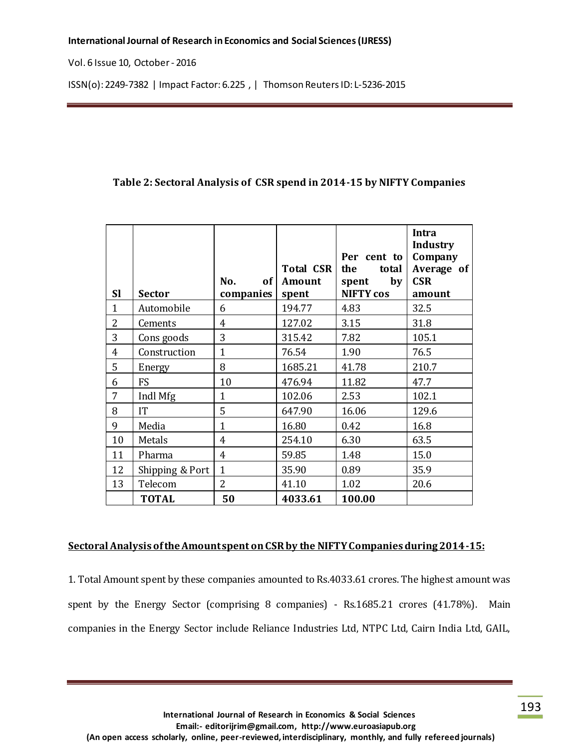Vol. 6 Issue 10, October - 2016

ISSN(o): 2249-7382 | Impact Factor: 6.225 , | Thomson Reuters ID: L-5236-2015

# **Table 2: Sectoral Analysis of CSR spend in 2014-15 by NIFTY Companies**

| <b>SI</b>    | <b>Sector</b>   | No.<br>of <sub>l</sub><br>companies | Total CSR<br>Amount<br>spent | Per cent to<br>the<br>total<br>by<br>spent<br><b>NIFTY</b> cos | Intra<br><b>Industry</b><br>Company<br>Average of<br><b>CSR</b><br>amount |
|--------------|-----------------|-------------------------------------|------------------------------|----------------------------------------------------------------|---------------------------------------------------------------------------|
| $\mathbf{1}$ | Automobile      | 6                                   | 194.77                       | 4.83                                                           | 32.5                                                                      |
| 2            | Cements         | 4                                   | 127.02                       | 3.15                                                           | 31.8                                                                      |
| 3            | Cons goods      | 3                                   | 315.42                       | 7.82                                                           | 105.1                                                                     |
| 4            | Construction    | $\mathbf{1}$                        | 76.54                        | 1.90                                                           | 76.5                                                                      |
| 5            | Energy          | 8                                   | 1685.21                      | 41.78                                                          | 210.7                                                                     |
| 6            | <b>FS</b>       | 10                                  | 476.94                       | 11.82                                                          | 47.7                                                                      |
| 7            | Indl Mfg        | $\mathbf{1}$                        | 102.06                       | 2.53                                                           | 102.1                                                                     |
| 8            | IT              | 5                                   | 647.90                       | 16.06                                                          | 129.6                                                                     |
| 9            | Media           | 1                                   | 16.80                        | 0.42                                                           | 16.8                                                                      |
| 10           | Metals          | 4                                   | 254.10                       | 6.30                                                           | 63.5                                                                      |
| 11           | Pharma          | $\overline{4}$                      | 59.85                        | 1.48                                                           | 15.0                                                                      |
| 12           | Shipping & Port | $\mathbf{1}$                        | 35.90                        | 0.89                                                           | 35.9                                                                      |
| 13           | Telecom         | $\overline{2}$                      | 41.10                        | 1.02                                                           | 20.6                                                                      |
|              | <b>TOTAL</b>    | 50                                  | 4033.61                      | 100.00                                                         |                                                                           |

# **Sectoral Analysis of the Amount spent on CSR by the NIFTY Companies during 2014-15:**

1. Total Amount spent by these companies amounted to Rs.4033.61 crores. The highest amount was spent by the Energy Sector (comprising 8 companies) - Rs.1685.21 crores (41.78%). Main companies in the Energy Sector include Reliance Industries Ltd, NTPC Ltd, Cairn India Ltd, GAIL,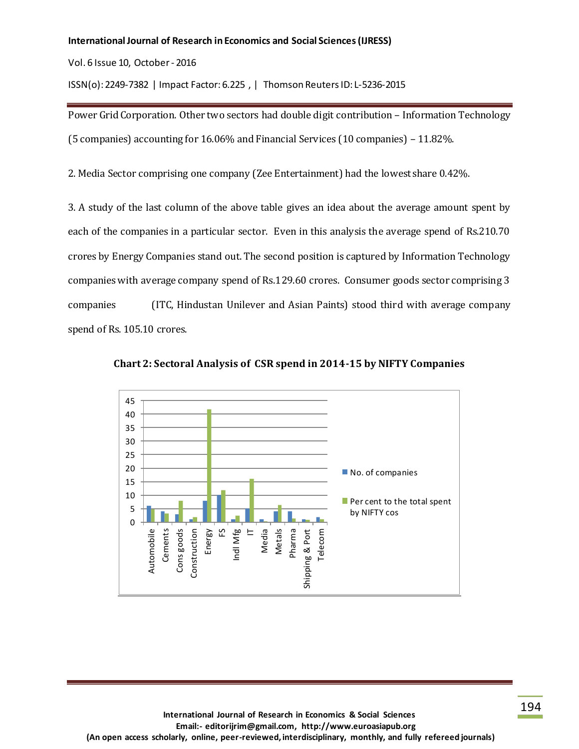Vol. 6 Issue 10, October - 2016

ISSN(o): 2249-7382 | Impact Factor: 6.225 , | Thomson Reuters ID: L-5236-2015

Power Grid Corporation. Other two sectors had double digit contribution – Information Technology (5 companies) accounting for 16.06% and Financial Services (10 companies) – 11.82%.

2. Media Sector comprising one company (Zee Entertainment) had the lowest share 0.42%.

3. A study of the last column of the above table gives an idea about the average amount spent by each of the companies in a particular sector. Even in this analysis the average spend of Rs.210.70 crores by Energy Companies stand out. The second position is captured by Information Technology companies with average company spend of Rs.129.60 crores. Consumer goods sector comprising 3 companies (ITC, Hindustan Unilever and Asian Paints) stood third with average company spend of Rs. 105.10 crores.



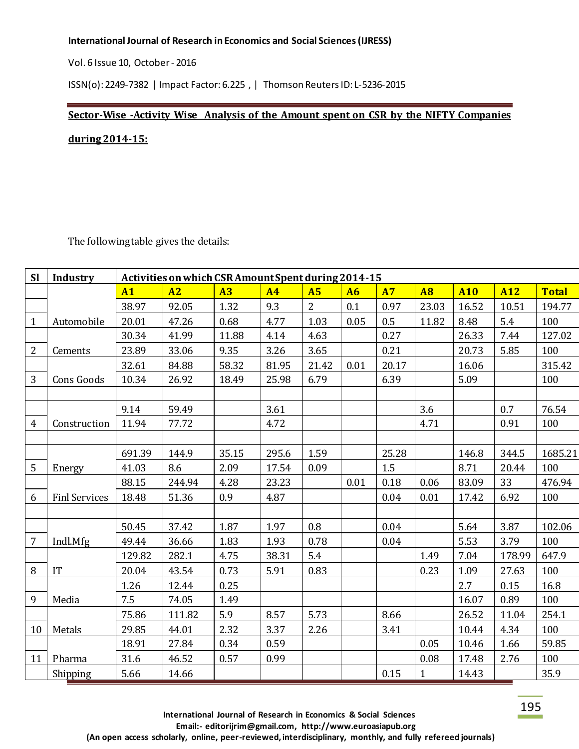Vol. 6 Issue 10, October - 2016

ISSN(o): 2249-7382 | Impact Factor: 6.225 , | Thomson Reuters ID: L-5236-2015

# **Sector-Wise -Activity Wise Analysis of the Amount spent on CSR by the NIFTY Companies**

#### **during 2014-15:**

The following table gives the details:

| <b>SI</b>      | <b>Industry</b>            | Activities on which CSR Amount Spent during 2014-15 |        |       |                |                |           |           |              |            |        |              |
|----------------|----------------------------|-----------------------------------------------------|--------|-------|----------------|----------------|-----------|-----------|--------------|------------|--------|--------------|
|                |                            | A1                                                  | A2     | A3    | A <sub>4</sub> | A <sub>5</sub> | <b>A6</b> | <b>A7</b> | <b>A8</b>    | <b>A10</b> | A12    | <b>Total</b> |
|                |                            | 38.97                                               | 92.05  | 1.32  | 9.3            | $\overline{2}$ | 0.1       | 0.97      | 23.03        | 16.52      | 10.51  | 194.77       |
| 1              | Automobile                 | 20.01                                               | 47.26  | 0.68  | 4.77           | 1.03           | 0.05      | 0.5       | 11.82        | 8.48       | 5.4    | 100          |
|                |                            | 30.34                                               | 41.99  | 11.88 | 4.14           | 4.63           |           | 0.27      |              | 26.33      | 7.44   | 127.02       |
| $\overline{2}$ | Cements                    | 23.89                                               | 33.06  | 9.35  | 3.26           | 3.65           |           | 0.21      |              | 20.73      | 5.85   | 100          |
|                |                            | 32.61                                               | 84.88  | 58.32 | 81.95          | 21.42          | 0.01      | 20.17     |              | 16.06      |        | 315.42       |
| 3              | Cons Goods                 | 10.34                                               | 26.92  | 18.49 | 25.98          | 6.79           |           | 6.39      |              | 5.09       |        | 100          |
|                |                            |                                                     |        |       |                |                |           |           |              |            |        |              |
|                |                            | 9.14                                                | 59.49  |       | 3.61           |                |           |           | 3.6          |            | 0.7    | 76.54        |
| $\overline{4}$ | Construction               | 11.94                                               | 77.72  |       | 4.72           |                |           |           | 4.71         |            | 0.91   | 100          |
|                |                            |                                                     |        |       |                |                |           |           |              |            |        |              |
|                |                            | 691.39                                              | 144.9  | 35.15 | 295.6          | 1.59           |           | 25.28     |              | 146.8      | 344.5  | 1685.21      |
| 5              | Energy                     | 41.03                                               | 8.6    | 2.09  | 17.54          | 0.09           |           | 1.5       |              | 8.71       | 20.44  | 100          |
|                |                            | 88.15                                               | 244.94 | 4.28  | 23.23          |                | 0.01      | 0.18      | 0.06         | 83.09      | 33     | 476.94       |
| 6              | <b>Finl Services</b>       | 18.48                                               | 51.36  | 0.9   | 4.87           |                |           | 0.04      | 0.01         | 17.42      | 6.92   | 100          |
|                |                            |                                                     |        |       |                |                |           |           |              |            |        |              |
|                |                            | 50.45                                               | 37.42  | 1.87  | 1.97           | 0.8            |           | 0.04      |              | 5.64       | 3.87   | 102.06       |
| 7              | Indl.Mfg                   | 49.44                                               | 36.66  | 1.83  | 1.93           | 0.78           |           | 0.04      |              | 5.53       | 3.79   | 100          |
|                |                            | 129.82                                              | 282.1  | 4.75  | 38.31          | 5.4            |           |           | 1.49         | 7.04       | 178.99 | 647.9        |
| 8              | $\ensuremath{\mathsf{IT}}$ | 20.04                                               | 43.54  | 0.73  | 5.91           | 0.83           |           |           | 0.23         | 1.09       | 27.63  | 100          |
|                |                            | 1.26                                                | 12.44  | 0.25  |                |                |           |           |              | 2.7        | 0.15   | 16.8         |
| 9              | Media                      | 7.5                                                 | 74.05  | 1.49  |                |                |           |           |              | 16.07      | 0.89   | 100          |
|                |                            | 75.86                                               | 111.82 | 5.9   | 8.57           | 5.73           |           | 8.66      |              | 26.52      | 11.04  | 254.1        |
| 10             | Metals                     | 29.85                                               | 44.01  | 2.32  | 3.37           | 2.26           |           | 3.41      |              | 10.44      | 4.34   | 100          |
|                |                            | 18.91                                               | 27.84  | 0.34  | 0.59           |                |           |           | 0.05         | 10.46      | 1.66   | 59.85        |
| 11             | Pharma                     | 31.6                                                | 46.52  | 0.57  | 0.99           |                |           |           | 0.08         | 17.48      | 2.76   | 100          |
|                | Shipping                   | 5.66                                                | 14.66  |       |                |                |           | 0.15      | $\mathbf{1}$ | 14.43      |        | 35.9         |

195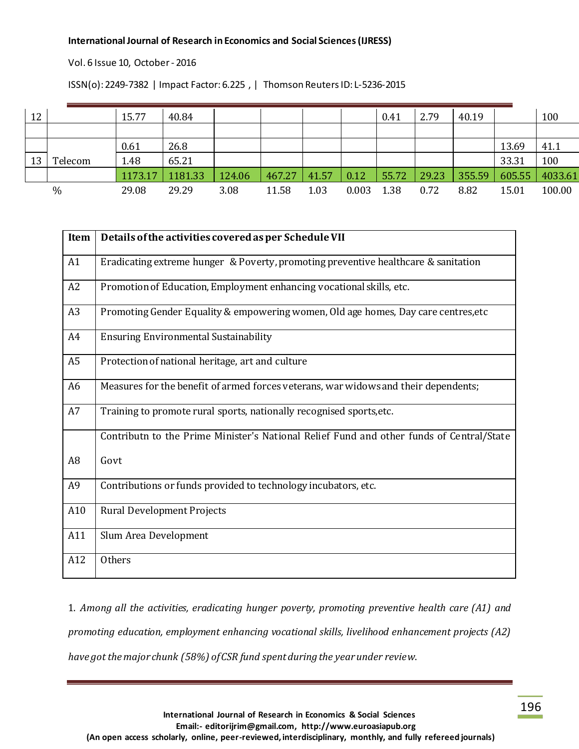Vol. 6 Issue 10, October - 2016

ISSN(o): 2249-7382 | Impact Factor: 6.225 , | Thomson Reuters ID: L-5236-2015

| 12 |         | 15.77   | 40.84   |        |        |       |       | 0.41  | 2.79  | 40.19  |        | 100     |
|----|---------|---------|---------|--------|--------|-------|-------|-------|-------|--------|--------|---------|
|    |         |         |         |        |        |       |       |       |       |        |        |         |
|    |         | 0.61    | 26.8    |        |        |       |       |       |       |        | 13.69  | 41.1    |
| 13 | Telecom | 1.48    | 65.21   |        |        |       |       |       |       |        | 33.31  | 100     |
|    |         | 1173.17 | 1181.33 | 124.06 | 467.27 | 41.57 | 0.12  | 55.72 | 29.23 | 355.59 | 605.55 | 4033.61 |
|    | $\%$    | 29.08   | 29.29   | 3.08   | 11.58  | 1.03  | 0.003 | 1.38  | 0.72  | 8.82   | 15.01  | 100.00  |

| Item           | Details of the activities covered as per Schedule VII                                    |
|----------------|------------------------------------------------------------------------------------------|
| A1             | Eradicating extreme hunger & Poverty, promoting preventive healthcare & sanitation       |
| A2             | Promotion of Education, Employment enhancing vocational skills, etc.                     |
| A <sub>3</sub> | Promoting Gender Equality & empowering women, Old age homes, Day care centres, etc       |
| A4             | <b>Ensuring Environmental Sustainability</b>                                             |
| A <sub>5</sub> | Protection of national heritage, art and culture                                         |
| A <sub>6</sub> | Measures for the benefit of armed forces veterans, war widows and their dependents;      |
| A7             | Training to promote rural sports, nationally recognised sports, etc.                     |
|                | Contributn to the Prime Minister's National Relief Fund and other funds of Central/State |
| A <sub>8</sub> | Govt                                                                                     |
| A <sub>9</sub> | Contributions or funds provided to technology incubators, etc.                           |
| A10            | <b>Rural Development Projects</b>                                                        |
| A11            | Slum Area Development                                                                    |
| A12            | Others                                                                                   |

1. *Among all the activities, eradicating hunger poverty, promoting preventive health care (A1) and promoting education, employment enhancing vocational skills, livelihood enhancement projects (A2) have got the major chunk (58%) of CSR fund spent during the year under review*.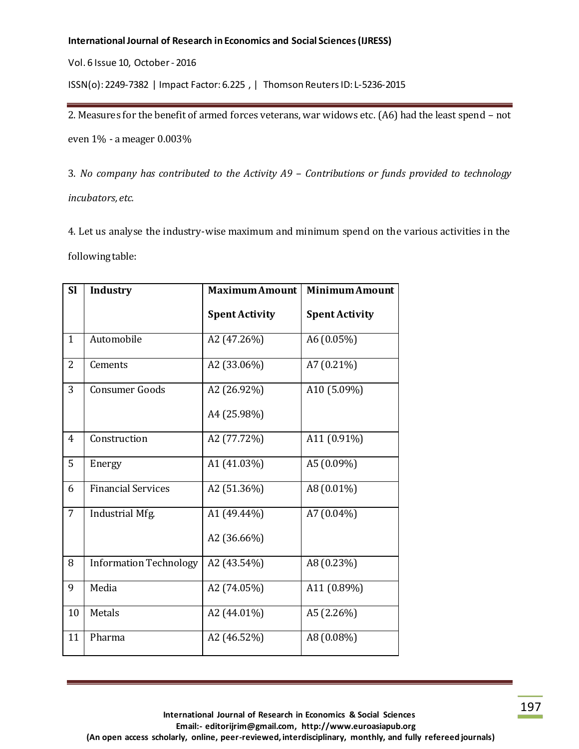Vol. 6 Issue 10, October - 2016

ISSN(o): 2249-7382 | Impact Factor: 6.225 , | Thomson Reuters ID: L-5236-2015

2. Measures for the benefit of armed forces veterans, war widows etc. (A6) had the least spend – not even 1% - a meager 0.003%

3. *No company has contributed to the Activity A9 – Contributions or funds provided to technology incubators, etc.*

4. Let us analyse the industry-wise maximum and minimum spend on the various activities in the following table:

| <b>Sl</b>      | <b>Industry</b>               | <b>Maximum Amount</b> | <b>Minimum Amount</b> |
|----------------|-------------------------------|-----------------------|-----------------------|
|                |                               | <b>Spent Activity</b> | <b>Spent Activity</b> |
| 1              | Automobile                    | A2 (47.26%)           | A6 (0.05%)            |
| $\overline{2}$ | Cements                       | A2 (33.06%)           | A7 $(0.21\%)$         |
| 3              | <b>Consumer Goods</b>         | A2 (26.92%)           | A10 (5.09%)           |
|                |                               | A4 (25.98%)           |                       |
| 4              | Construction                  | A2 (77.72%)           | A11 (0.91%)           |
| 5              | Energy                        | A1 (41.03%)           | A5 (0.09%)            |
| 6              | <b>Financial Services</b>     | A2 (51.36%)           | A8 (0.01%)            |
| $\overline{7}$ | Industrial Mfg.               | A1 (49.44%)           | A7 (0.04%)            |
|                |                               | A2 (36.66%)           |                       |
| 8              | <b>Information Technology</b> | A2 (43.54%)           | A8 (0.23%)            |
| 9              | Media                         | A2 (74.05%)           | A11 (0.89%)           |
| 10             | Metals                        | A2 (44.01%)           | A5 (2.26%)            |
| 11             | Pharma                        | A2 (46.52%)           | A8 (0.08%)            |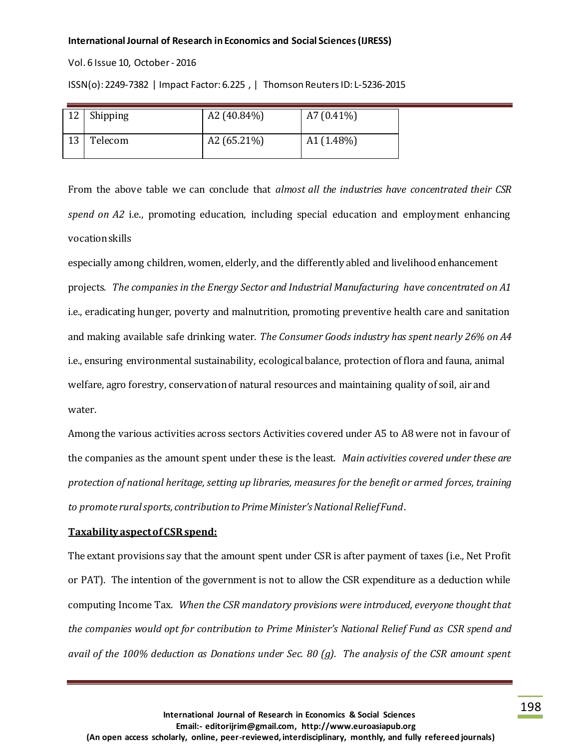Vol. 6 Issue 10, October - 2016

ISSN(o): 2249-7382 | Impact Factor: 6.225 , | Thomson Reuters ID: L-5236-2015

| 12 | Shipping | A2 $(40.84\%)$ | A7 $(0.41\%)$ |
|----|----------|----------------|---------------|
| 13 | Telecom  | A2 $(65.21\%)$ | A1 $(1.48\%)$ |

From the above table we can conclude that *almost all the industries have concentrated their CSR spend on A2* i.e., promoting education, including special education and employment enhancing vocation skills

especially among children, women, elderly, and the differently abled and livelihood enhancement projects. *The companies in the Energy Sector and Industrial Manufacturing have concentrated on A1* i.e., eradicating hunger, poverty and malnutrition, promoting preventive health care and sanitation and making available safe drinking water. *The Consumer Goods industry has spent nearly 26% on A4* i.e., ensuring environmental sustainability, ecological balance, protection of flora and fauna, animal welfare, agro forestry, conservation of natural resources and maintaining quality of soil, air and water.

Among the various activities across sectors Activities covered under A5 to A8 were not in favour of the companies as the amount spent under these is the least. *Main activities covered under these are protection of national heritage, setting up libraries, measures for the benefit or armed forces, training to promote rural sports, contribution to Prime Minister's National Relief Fund*.

#### **Taxability aspect of CSR spend:**

The extant provisions say that the amount spent under CSR is after payment of taxes (i.e., Net Profit or PAT). The intention of the government is not to allow the CSR expenditure as a deduction while computing Income Tax. *When the CSR mandatory provisions were introduced, everyone thought that the companies would opt for contribution to Prime Minister's National Relief Fund as CSR spend and avail of the 100% deduction as Donations under Sec. 80 (g). The analysis of the CSR amount spent*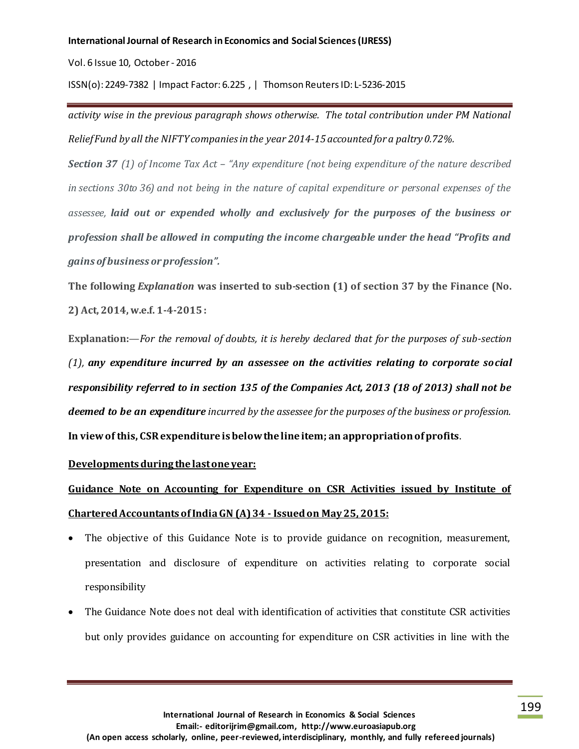Vol. 6 Issue 10, October - 2016

ISSN(o): 2249-7382 | Impact Factor: 6.225 , | Thomson Reuters ID: L-5236-2015

*activity wise in the previous paragraph shows otherwise. The total contribution under PM National Relief Fund by all the NIFTY companies in the year 2014-15 accounted for a paltry 0.72%.*

*Section 37 (1) of Income Tax Act – "Any expenditure (not being expenditure of the nature described in sections 30to 36) and not being in the nature of capital expenditure or personal expenses of the assessee, laid out or expended wholly and exclusively for the purposes of the business or profession shall be allowed in computing the income chargeable under the head "Profits and gains of business or profession".*

**The following** *Explanation* **was inserted to sub-section (1) of section 37 by the Finance (No. 2) Act, 2014, w.e.f. 1-4-2015:**

**Explanation:**—*For the removal of doubts, it is hereby declared that for the purposes of sub-section (1), any expenditure incurred by an assessee on the activities relating to corporate social responsibility referred to in section 135 of the Companies Act, 2013 (18 of 2013) shall not be deemed to be an expenditure incurred by the assessee for the purposes of the business or profession.* **In view of this, CSR expenditure is below the line item; an appropriation of profits**.

## **Developments during the last one year:**

# **Guidance Note on Accounting for Expenditure on CSR Activities issued by Institute of Chartered Accountants of India GN (A) 34 - Issued on May 25, 2015:**

- The objective of this Guidance Note is to provide guidance on recognition, measurement, presentation and disclosure of expenditure on activities relating to corporate social responsibility
- The Guidance Note does not deal with identification of activities that constitute CSR activities but only provides guidance on accounting for expenditure on CSR activities in line with the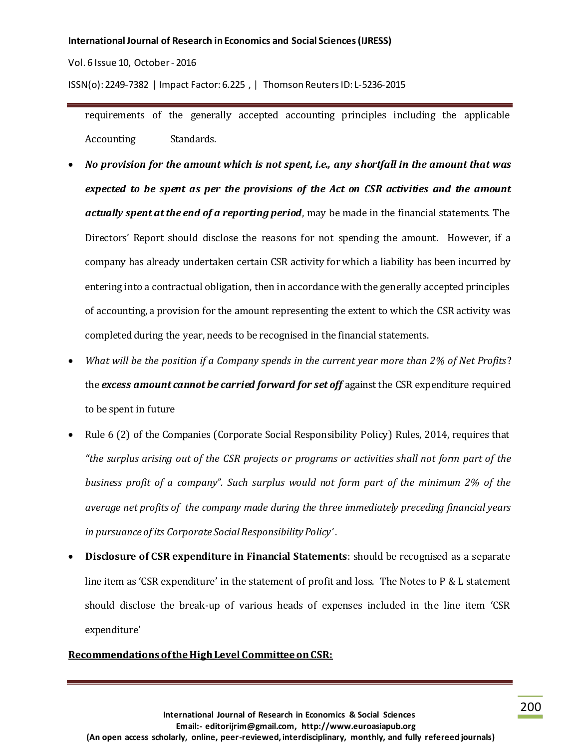Vol. 6 Issue 10, October - 2016

ISSN(o): 2249-7382 | Impact Factor: 6.225 , | Thomson Reuters ID: L-5236-2015

requirements of the generally accepted accounting principles including the applicable Accounting Standards.

- *No provision for the amount which is not spent, i.e., any shortfall in the amount that was expected to be spent as per the provisions of the Act on CSR activities and the amount actually spent at the end of a reporting period*, may be made in the financial statements. The Directors' Report should disclose the reasons for not spending the amount. However, if a company has already undertaken certain CSR activity for which a liability has been incurred by entering into a contractual obligation, then in accordance with the generally accepted principles of accounting, a provision for the amount representing the extent to which the CSR activity was completed during the year, needs to be recognised in the financial statements.
- *What will be the position if a Company spends in the current year more than 2% of Net Profits* ? the *excess amount cannot be carried forward for set off* against the CSR expenditure required to be spent in future
- Rule 6 (2) of the Companies (Corporate Social Responsibility Policy) Rules, 2014, requires that *"the surplus arising out of the CSR projects or programs or activities shall not form part of the business profit of a company". Such surplus would not form part of the minimum 2% of the average net profits of the company made during the three immediately preceding financial years in pursuance of its Corporate Social Responsibility Policy'* .
- **Disclosure of CSR expenditure in Financial Statements**: should be recognised as a separate line item as 'CSR expenditure' in the statement of profit and loss. The Notes to P & L statement should disclose the break-up of various heads of expenses included in the line item 'CSR expenditure'

# **Recommendations of the High Level Committee on CSR:**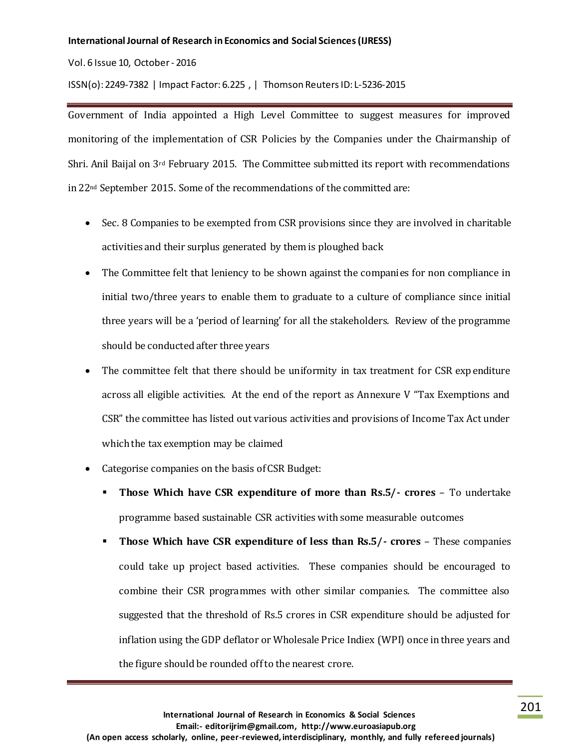Vol. 6 Issue 10, October - 2016

ISSN(o): 2249-7382 | Impact Factor: 6.225 , | Thomson Reuters ID: L-5236-2015

Government of India appointed a High Level Committee to suggest measures for improved monitoring of the implementation of CSR Policies by the Companies under the Chairmanship of Shri. Anil Baijal on 3rd February 2015. The Committee submitted its report with recommendations in 22nd September 2015. Some of the recommendations of the committed are:

- Sec. 8 Companies to be exempted from CSR provisions since they are involved in charitable activities and their surplus generated by them is ploughed back
- The Committee felt that leniency to be shown against the companies for non compliance in initial two/three years to enable them to graduate to a culture of compliance since initial three years will be a 'period of learning' for all the stakeholders. Review of the programme should be conducted after three years
- The committee felt that there should be uniformity in tax treatment for CSR expenditure across all eligible activities. At the end of the report as Annexure V "Tax Exemptions and CSR" the committee has listed out various activities and provisions of Income Tax Act under which the tax exemption may be claimed
- Categorise companies on the basis of CSR Budget:
	- **Those Which have CSR expenditure of more than Rs.5/- crores** To undertake programme based sustainable CSR activities with some measurable outcomes
	- **Those Which have CSR expenditure of less than Rs.5/- crores** These companies could take up project based activities. These companies should be encouraged to combine their CSR programmes with other similar companies. The committee also suggested that the threshold of Rs.5 crores in CSR expenditure should be adjusted for inflation using the GDP deflator or Wholesale Price Indiex (WPI) once in three years and the figure should be rounded off to the nearest crore.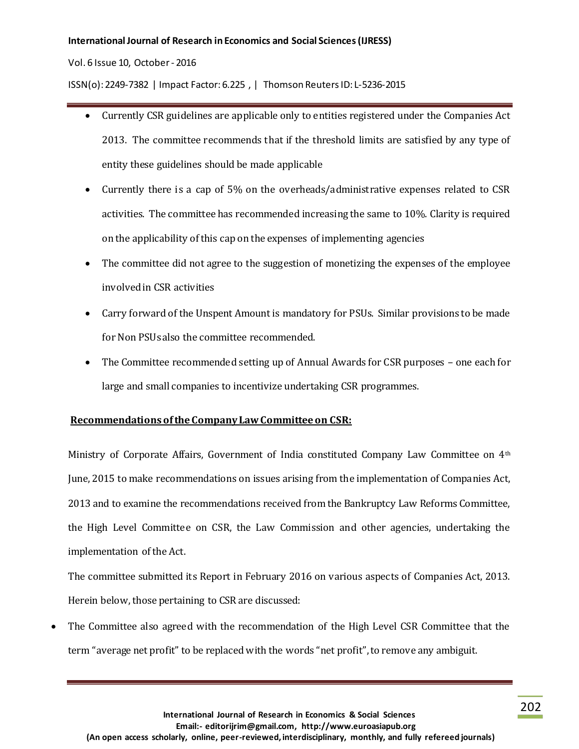#### Vol. 6 Issue 10, October - 2016

ISSN(o): 2249-7382 | Impact Factor: 6.225 , | Thomson Reuters ID: L-5236-2015

- Currently CSR guidelines are applicable only to entities registered under the Companies Act 2013. The committee recommends that if the threshold limits are satisfied by any type of entity these guidelines should be made applicable
- Currently there is a cap of 5% on the overheads/administrative expenses related to CSR activities. The committee has recommended increasing the same to 10%. Clarity is required on the applicability of this cap on the expenses of implementing agencies
- The committee did not agree to the suggestion of monetizing the expenses of the employee involved in CSR activities
- Carry forward of the Unspent Amount is mandatory for PSUs. Similar provisions to be made for Non PSUs also the committee recommended.
- The Committee recommended setting up of Annual Awards for CSR purposes one each for large and small companies to incentivize undertaking CSR programmes.

# **Recommendations of the Company Law Committee on CSR:**

Ministry of Corporate Affairs, Government of India constituted Company Law Committee on 4th June, 2015 to make recommendations on issues arising from the implementation of Companies Act, 2013 and to examine the recommendations received from the Bankruptcy Law Reforms Committee, the High Level Committee on CSR, the Law Commission and other agencies, undertaking the implementation of the Act.

The committee submitted its Report in February 2016 on various aspects of Companies Act, 2013. Herein below, those pertaining to CSR are discussed:

 The Committee also agreed with the recommendation of the High Level CSR Committee that the term "average net profit" to be replaced with the words "net profit", to remove any ambiguit.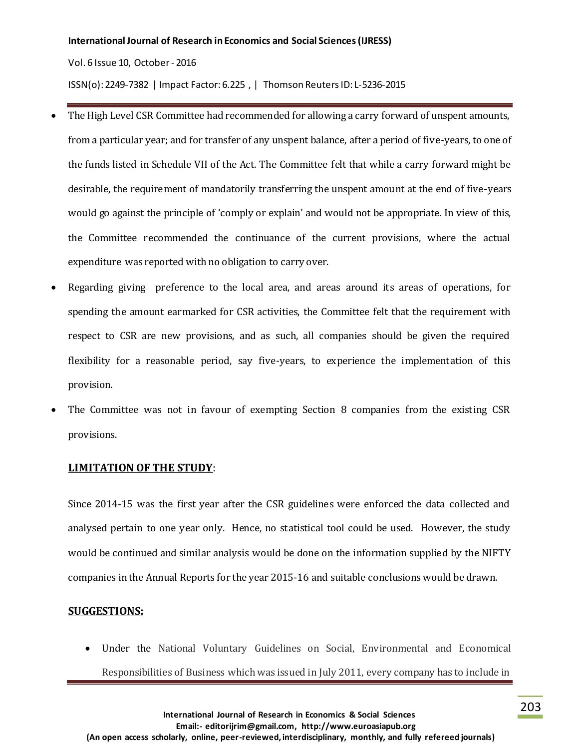Vol. 6 Issue 10, October - 2016

ISSN(o): 2249-7382 | Impact Factor: 6.225 , | Thomson Reuters ID: L-5236-2015

- The High Level CSR Committee had recommended for allowing a carry forward of unspent amounts, from a particular year; and for transfer of any unspent balance, after a period of five-years, to one of the funds listed in Schedule VII of the Act. The Committee felt that while a carry forward might be desirable, the requirement of mandatorily transferring the unspent amount at the end of five-years would go against the principle of 'comply or explain' and would not be appropriate. In view of this, the Committee recommended the continuance of the current provisions, where the actual expenditure was reported with no obligation to carry over.
- Regarding giving preference to the local area, and areas around its areas of operations, for spending the amount earmarked for CSR activities, the Committee felt that the requirement with respect to CSR are new provisions, and as such, all companies should be given the required flexibility for a reasonable period, say five-years, to experience the implementation of this provision.
- The Committee was not in favour of exempting Section 8 companies from the existing CSR provisions.

# **LIMITATION OF THE STUDY**:

Since 2014-15 was the first year after the CSR guidelines were enforced the data collected and analysed pertain to one year only. Hence, no statistical tool could be used. However, the study would be continued and similar analysis would be done on the information supplied by the NIFTY companies in the Annual Reports for the year 2015-16 and suitable conclusions would be drawn.

# **SUGGESTIONS:**

 Under the National Voluntary Guidelines on Social, Environmental and Economical Responsibilities of Business which was issued in July 2011, every company has to include in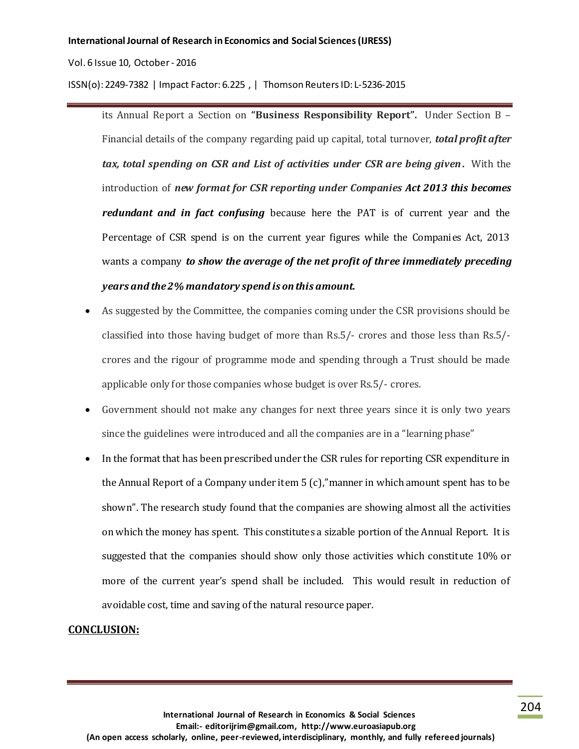Vol. 6 Issue 10, October - 2016

ISSN(o): 2249-7382 | Impact Factor: 6.225 , | Thomson Reuters ID: L-5236-2015

its Annual Report a Section on **"Business Responsibility Report".** Under Section B – Financial details of the company regarding paid up capital, total turnover, *total profit after tax, total spending on CSR and List of activities under CSR are being given***.** With the introduction of *new format for CSR reporting under Companies Act 2013 this becomes redundant and in fact confusing* because here the PAT is of current year and the Percentage of CSR spend is on the current year figures while the Companies Act, 2013 wants a company *to show the average of the net profit of three immediately preceding years and the 2% mandatory spend is on this amount.*

- As suggested by the Committee, the companies coming under the CSR provisions should be classified into those having budget of more than Rs.5/- crores and those less than Rs.5/ crores and the rigour of programme mode and spending through a Trust should be made applicable only for those companies whose budget is over Rs.5/- crores.
- Government should not make any changes for next three years since it is only two years since the guidelines were introduced and all the companies are in a "learning phase"
- In the format that has been prescribed under the CSR rules for reporting CSR expenditure in the Annual Report of a Company under item 5 (c),"manner in which amount spent has to be shown". The research study found that the companies are showing almost all the activities on which the money has spent. This constitutes a sizable portion of the Annual Report. It is suggested that the companies should show only those activities which constitute 10% or more of the current year's spend shall be included. This would result in reduction of avoidable cost, time and saving of the natural resource paper.

# **CONCLUSION:**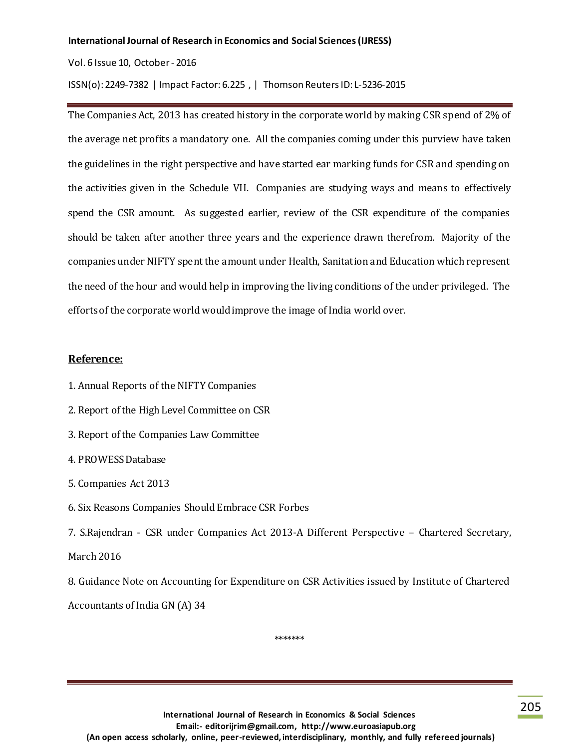Vol. 6 Issue 10, October - 2016

ISSN(o): 2249-7382 | Impact Factor: 6.225 , | Thomson Reuters ID: L-5236-2015

The Companies Act, 2013 has created history in the corporate world by making CSR spend of 2% of the average net profits a mandatory one. All the companies coming under this purview have taken the guidelines in the right perspective and have started ear marking funds for CSR and spending on the activities given in the Schedule VII. Companies are studying ways and means to effectively spend the CSR amount. As suggested earlier, review of the CSR expenditure of the companies should be taken after another three years and the experience drawn therefrom. Majority of the companies under NIFTY spent the amount under Health, Sanitation and Education which represent the need of the hour and would help in improving the living conditions of the under privileged. The efforts of the corporate world would improve the image of India world over.

# **Reference:**

1. Annual Reports of the NIFTY Companies

- 2. Report of the High Level Committee on CSR
- 3. Report of the Companies Law Committee
- 4. PROWESS Database
- 5. Companies Act 2013
- 6. Six Reasons Companies Should Embrace CSR Forbes

7. S.Rajendran - CSR under Companies Act 2013-A Different Perspective – Chartered Secretary, March 2016

8. Guidance Note on Accounting for Expenditure on CSR Activities issued by Institute of Chartered Accountants of India GN (A) 34

\*\*\*\*\*\*\*